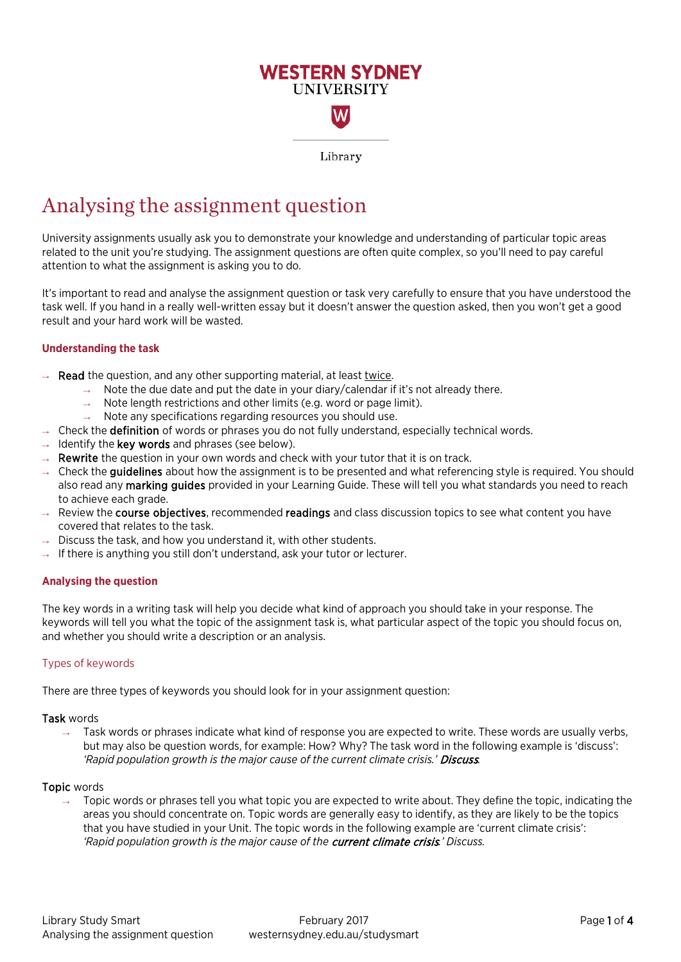

# Analysing the assignment question

University assignments usually ask you to demonstrate your knowledge and understanding of particular topic areas related to the unit you're studying. The assignment questions are often quite complex, so you'll need to pay careful attention to what the assignment is asking you to do.

It's important to read and analyse the assignment question or task very carefully to ensure that you have understood the task well. If you hand in a really well-written essay but it doesn't answer the question asked, then you won't get a good result and your hard work will be wasted.

# **Understanding the task**

- **Read** the question, and any other supporting material, at least twice.
	- $\rightarrow$  Note the due date and put the date in your diary/calendar if it's not already there.
	- Note length restrictions and other limits (e.g. word or page limit).
	- $\rightarrow$  Note any specifications regarding resources you should use.
- $\rightarrow$  Check the definition of words or phrases you do not fully understand, especially technical words.
- $\rightarrow$  Identify the key words and phrases (see below).
- $\rightarrow$  Rewrite the question in your own words and check with your tutor that it is on track.
- $\rightarrow$  Check the **quidelines** about how the assignment is to be presented and what referencing style is required. You should also read any marking guides provided in your Learning Guide. These will tell you what standards you need to reach to achieve each grade.
- $\rightarrow$  Review the course objectives, recommended readings and class discussion topics to see what content you have covered that relates to the task.
- $\rightarrow$  Discuss the task, and how you understand it, with other students.
- $\rightarrow$  If there is anything you still don't understand, ask your tutor or lecturer.

# **Analysing the question**

The key words in a writing task will help you decide what kind of approach you should take in your response. The keywords will tell you what the topic of the assignment task is, what particular aspect of the topic you should focus on, and whether you should write a description or an analysis.

# Types of keywords

There are three types of keywords you should look for in your assignment question:

#### Task words

 $\rightarrow$  Task words or phrases indicate what kind of response you are expected to write. These words are usually verbs, but may also be question words, for example: How? Why? The task word in the following example is 'discuss': *'Rapid population growth is the major cause of the current climate crisis.'* Discuss*.* 

#### Topic words

Topic words or phrases tell you what topic you are expected to write about. They define the topic, indicating the areas you should concentrate on. Topic words are generally easy to identify, as they are likely to be the topics that you have studied in your Unit. The topic words in the following example are 'current climate crisis': *'Rapid population growth is the major cause of the* current climate crisis*.' Discuss.*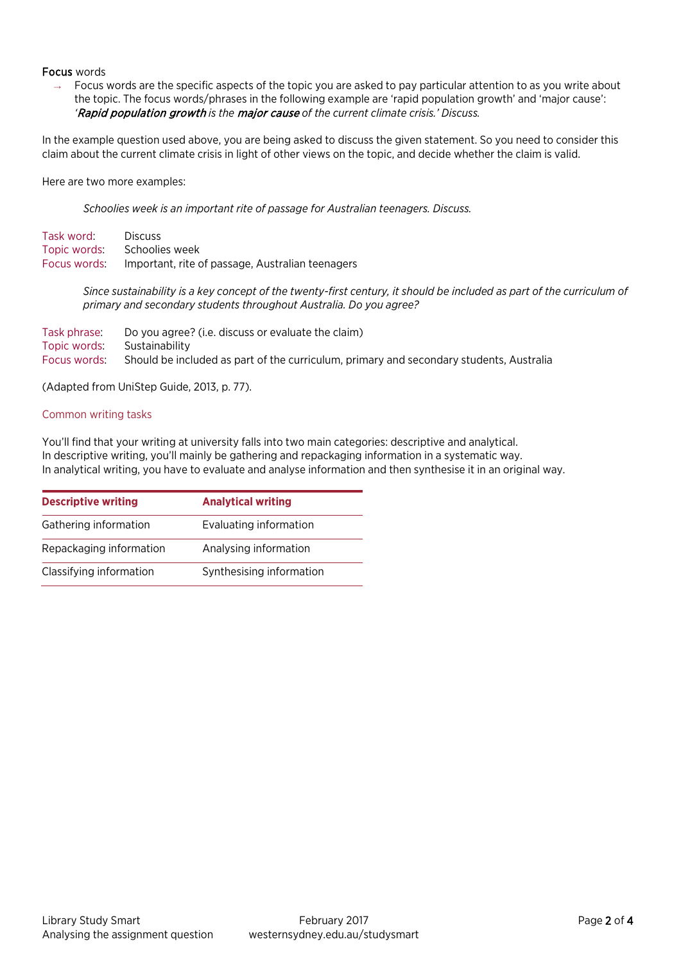## Focus words

 $\rightarrow$  Focus words are the specific aspects of the topic you are asked to pay particular attention to as you write about the topic. The focus words/phrases in the following example are 'rapid population growth' and 'major cause': *'*Rapid population growth *is the* major cause *of the current climate crisis.' Discuss.*

In the example question used above, you are being asked to discuss the given statement. So you need to consider this claim about the current climate crisis in light of other views on the topic, and decide whether the claim is valid.

Here are two more examples:

*Schoolies week is an important rite of passage for Australian teenagers. Discuss.*

Task word: Discuss Topic words: Schoolies week Focus words: Important, rite of passage, Australian teenagers

> Since sustainability is a key concept of the twenty-first century, it should be included as part of the curriculum of *primary and secondary students throughout Australia. Do you agree?*

| Task phrase: I              | Do you agree? (i.e. discuss or evaluate the claim)                                      |
|-----------------------------|-----------------------------------------------------------------------------------------|
| Topic words: Sustainability |                                                                                         |
| Focus words:                | Should be included as part of the curriculum, primary and secondary students, Australia |

(Adapted from UniStep Guide, 2013, p. 77).

### Common writing tasks

You'll find that your writing at university falls into two main categories: descriptive and analytical. In descriptive writing, you'll mainly be gathering and repackaging information in a systematic way. In analytical writing, you have to evaluate and analyse information and then synthesise it in an original way.

| <b>Descriptive writing</b> | <b>Analytical writing</b> |
|----------------------------|---------------------------|
| Gathering information      | Evaluating information    |
| Repackaging information    | Analysing information     |
| Classifying information    | Synthesising information  |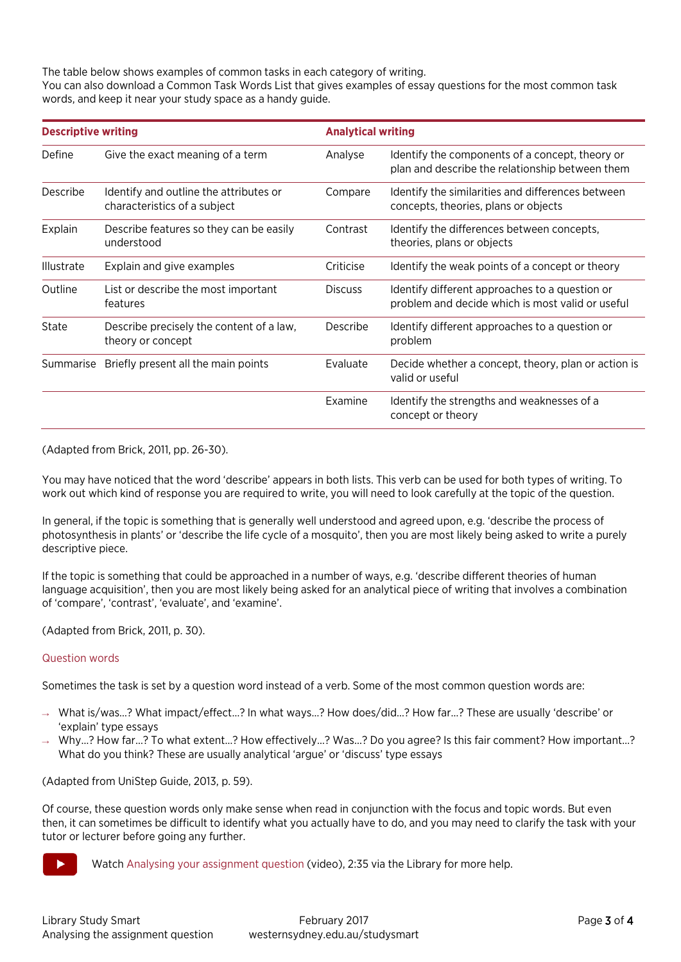The table below shows examples of common tasks in each category of writing. You can also download a Common Task Words List that gives examples of essay questions for the most common task words, and keep it near your study space as a handy guide.

| <b>Descriptive writing</b> |                                                                        |                | <b>Analytical writing</b>                                                                          |  |
|----------------------------|------------------------------------------------------------------------|----------------|----------------------------------------------------------------------------------------------------|--|
| Define                     | Give the exact meaning of a term                                       | Analyse        | Identify the components of a concept, theory or<br>plan and describe the relationship between them |  |
| Describe                   | Identify and outline the attributes or<br>characteristics of a subject | Compare        | Identify the similarities and differences between<br>concepts, theories, plans or objects          |  |
| Explain                    | Describe features so they can be easily<br>understood                  | Contrast       | Identify the differences between concepts,<br>theories, plans or objects                           |  |
| <b>Illustrate</b>          | Explain and give examples                                              | Criticise      | Identify the weak points of a concept or theory                                                    |  |
| Outline                    | List or describe the most important<br>features                        | <b>Discuss</b> | Identify different approaches to a question or<br>problem and decide which is most valid or useful |  |
| State                      | Describe precisely the content of a law,<br>theory or concept          | Describe       | Identify different approaches to a question or<br>problem                                          |  |
| Summarise                  | Briefly present all the main points                                    | Evaluate       | Decide whether a concept, theory, plan or action is<br>valid or useful                             |  |
|                            |                                                                        | Examine        | Identify the strengths and weaknesses of a<br>concept or theory                                    |  |

(Adapted from Brick, 2011, pp. 26-30).

You may have noticed that the word 'describe' appears in both lists. This verb can be used for both types of writing. To work out which kind of response you are required to write, you will need to look carefully at the topic of the question.

In general, if the topic is something that is generally well understood and agreed upon, e.g. 'describe the process of photosynthesis in plants' or 'describe the life cycle of a mosquito', then you are most likely being asked to write a purely descriptive piece.

If the topic is something that could be approached in a number of ways, e.g. 'describe different theories of human language acquisition', then you are most likely being asked for an analytical piece of writing that involves a combination of 'compare', 'contrast', 'evaluate', and 'examine'.

(Adapted from Brick, 2011, p. 30).

# Question words

Sometimes the task is set by a question word instead of a verb. Some of the most common question words are:

- → What is/was…? What impact/effect…? In what ways…? How does/did…? How far…? These are usually 'describe' or 'explain' type essays
- → Why…? How far…? To what extent…? How effectively…? Was...? Do you agree? Is this fair comment? How important…? What do you think? These are usually analytical 'argue' or 'discuss' type essays

(Adapted from UniStep Guide, 2013, p. 59).

Of course, these question words only make sense when read in conjunction with the focus and topic words. But even then, it can sometimes be difficult to identify what you actually have to do, and you may need to clarify the task with your tutor or lecturer before going any further.



Watc[h Analysing your assignment question](http://handle.westernsydney.edu.au:8081/1959.7/LIB-AYEQ) (video), 2:35 via the Library for more help.